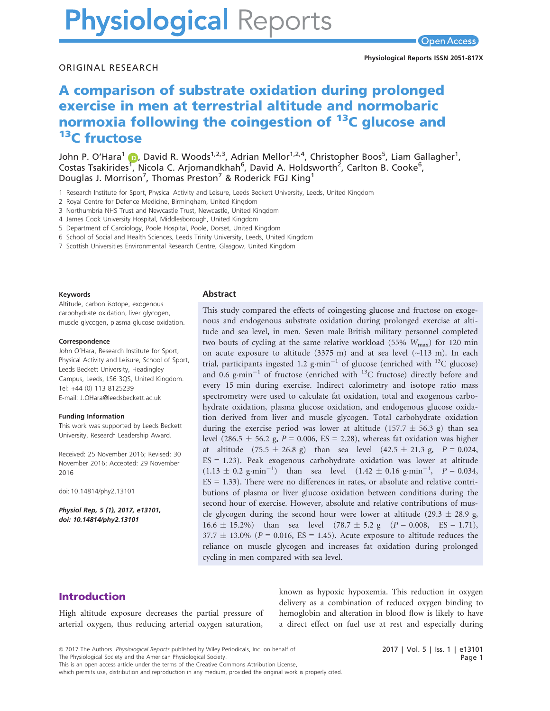# **Physiological Reports**

ORIGINAL RESEARCH

# A comparison of substrate oxidation during prolonged exercise in men at terrestrial altitude and normobaric normoxia following the coingestion of <sup>13</sup>C glucose and <sup>13</sup>C fructose

John P. O'Hara<sup>[1](http://orcid.org/0000-0003-1589-7984)</sup> (D, David R. Woods<sup>1,2,3</sup>, Adrian Mellor<sup>1,2,4</sup>, Christopher Boos<sup>5</sup>, Liam Gallagher<sup>1</sup>, Costas Tsakirides<sup>[1](http://orcid.org/0000-0003-1589-7984)</sup>, Nicola C. Arjomandkhah<sup>6</sup>, David A. Holdsworth<sup>2</sup>, Carlton B. Cooke<sup>6</sup>, Douglas J. Morrison<sup>7</sup>, Thomas Preston<sup>7</sup> & Roderick FGJ King<sup>1</sup>

- 1 Research Institute for Sport, Physical Activity and Leisure, Leeds Beckett University, Leeds, United Kingdom
- 2 Royal Centre for Defence Medicine, Birmingham, United Kingdom
- 3 Northumbria NHS Trust and Newcastle Trust, Newcastle, United Kingdom
- 4 James Cook University Hospital, Middlesborough, United Kingdom

5 Department of Cardiology, Poole Hospital, Poole, Dorset, United Kingdom

6 School of Social and Health Sciences, Leeds Trinity University, Leeds, United Kingdom

7 Scottish Universities Environmental Research Centre, Glasgow, United Kingdom

#### Keywords

Altitude, carbon isotope, exogenous carbohydrate oxidation, liver glycogen, muscle glycogen, plasma glucose oxidation.

#### Correspondence

John O'Hara, Research Institute for Sport, Physical Activity and Leisure, School of Sport, Leeds Beckett University, Headingley Campus, Leeds, LS6 3QS, United Kingdom. Tel: +44 (0) 113 8125239 E-mail: J.OHara@leedsbeckett.ac.uk

#### Funding Information

This work was supported by Leeds Beckett University, Research Leadership Award.

Received: 25 November 2016; Revised: 30 November 2016; Accepted: 29 November 2016

doi: 10.14814/phy2.13101

Physiol Rep, 5 (1), 2017, e13101, doi: [10.14814/phy2.13101](info:doi/10.14814/phy2.13101)

#### Abstract

This study compared the effects of coingesting glucose and fructose on exogenous and endogenous substrate oxidation during prolonged exercise at altitude and sea level, in men. Seven male British military personnel completed two bouts of cycling at the same relative workload (55%  $W_{\text{max}}$ ) for 120 min on acute exposure to altitude (3375 m) and at sea level (~113 m). In each trial, participants ingested 1.2 g·min<sup>-1</sup> of glucose (enriched with <sup>13</sup>C glucose) and 0.6 g·min<sup>-1</sup> of fructose (enriched with  $^{13}$ C fructose) directly before and every 15 min during exercise. Indirect calorimetry and isotope ratio mass spectrometry were used to calculate fat oxidation, total and exogenous carbohydrate oxidation, plasma glucose oxidation, and endogenous glucose oxidation derived from liver and muscle glycogen. Total carbohydrate oxidation during the exercise period was lower at altitude (157.7  $\pm$  56.3 g) than sea level (286.5  $\pm$  56.2 g, P = 0.006, ES = 2.28), whereas fat oxidation was higher at altitude  $(75.5 \pm 26.8 \text{ g})$  than sea level  $(42.5 \pm 21.3 \text{ g}, P = 0.024, P$ ES = 1.23). Peak exogenous carbohydrate oxidation was lower at altitude  $(1.13 \pm 0.2 \text{ g}\cdot \text{min}^{-1})$  than sea level  $(1.42 \pm 0.16 \text{ g}\cdot \text{min}^{-1}, P = 0.034,$  $ES = 1.33$ ). There were no differences in rates, or absolute and relative contributions of plasma or liver glucose oxidation between conditions during the second hour of exercise. However, absolute and relative contributions of muscle glycogen during the second hour were lower at altitude (29.3  $\pm$  28.9 g,  $16.6 \pm 15.2\%$ ) than sea level  $(78.7 \pm 5.2 \text{ g})$   $(P = 0.008, \text{ ES} = 1.71)$ ,  $37.7 \pm 13.0\%$  (P = 0.016, ES = 1.45). Acute exposure to altitude reduces the reliance on muscle glycogen and increases fat oxidation during prolonged cycling in men compared with sea level.

# Introduction

High altitude exposure decreases the partial pressure of arterial oxygen, thus reducing arterial oxygen saturation, known as hypoxic hypoxemia. This reduction in oxygen delivery as a combination of reduced oxygen binding to hemoglobin and alteration in blood flow is likely to have a direct effect on fuel use at rest and especially during

The Physiological Society and the American Physiological Society.

This is an open access article under the terms of the [Creative Commons Attribution](http://creativecommons.org/licenses/by/4.0/) License,

which permits use, distribution and reproduction in any medium, provided the original work is properly cited.

<sup>ª</sup> 2017 The Authors. Physiological Reports published by Wiley Periodicals, Inc. on behalf of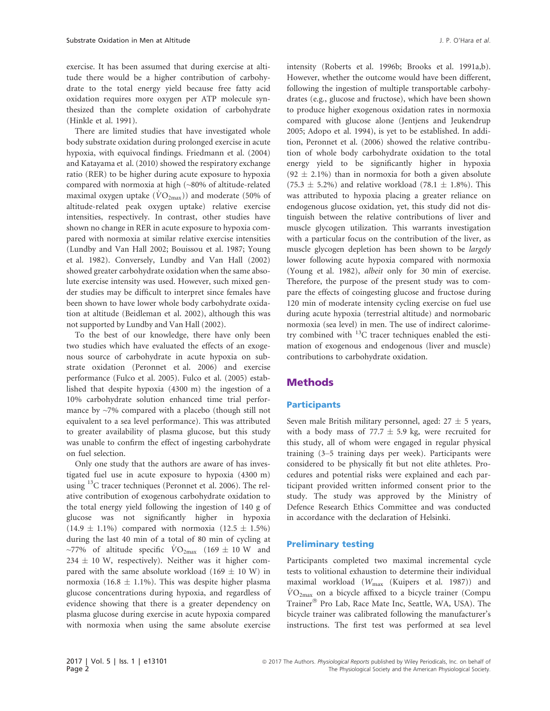exercise. It has been assumed that during exercise at altitude there would be a higher contribution of carbohydrate to the total energy yield because free fatty acid oxidation requires more oxygen per ATP molecule synthesized than the complete oxidation of carbohydrate (Hinkle et al. 1991).

There are limited studies that have investigated whole body substrate oxidation during prolonged exercise in acute hypoxia, with equivocal findings. Friedmann et al. (2004) and Katayama et al. (2010) showed the respiratory exchange ratio (RER) to be higher during acute exposure to hypoxia compared with normoxia at high (~80% of altitude-related maximal oxygen uptake  $(\dot{V}O_{2\text{max}})$  and moderate (50% of altitude-related peak oxygen uptake) relative exercise intensities, respectively. In contrast, other studies have shown no change in RER in acute exposure to hypoxia compared with normoxia at similar relative exercise intensities (Lundby and Van Hall 2002; Bouissou et al. 1987; Young et al. 1982). Conversely, Lundby and Van Hall (2002) showed greater carbohydrate oxidation when the same absolute exercise intensity was used. However, such mixed gender studies may be difficult to interpret since females have been shown to have lower whole body carbohydrate oxidation at altitude (Beidleman et al. 2002), although this was not supported by Lundby and Van Hall (2002).

To the best of our knowledge, there have only been two studies which have evaluated the effects of an exogenous source of carbohydrate in acute hypoxia on substrate oxidation (Peronnet et al. 2006) and exercise performance (Fulco et al. 2005). Fulco et al. (2005) established that despite hypoxia (4300 m) the ingestion of a 10% carbohydrate solution enhanced time trial performance by ~7% compared with a placebo (though still not equivalent to a sea level performance). This was attributed to greater availability of plasma glucose, but this study was unable to confirm the effect of ingesting carbohydrate on fuel selection.

Only one study that the authors are aware of has investigated fuel use in acute exposure to hypoxia (4300 m) using <sup>13</sup>C tracer techniques (Peronnet et al. 2006). The relative contribution of exogenous carbohydrate oxidation to the total energy yield following the ingestion of 140 g of glucose was not significantly higher in hypoxia  $(14.9 \pm 1.1\%)$  compared with normoxia  $(12.5 \pm 1.5\%)$ during the last 40 min of a total of 80 min of cycling at ~77% of altitude specific  $\text{VO}_{2\text{max}}$  (169  $\pm$  10 W and  $234 \pm 10$  W, respectively). Neither was it higher compared with the same absolute workload (169  $\pm$  10 W) in normoxia (16.8  $\pm$  1.1%). This was despite higher plasma glucose concentrations during hypoxia, and regardless of evidence showing that there is a greater dependency on plasma glucose during exercise in acute hypoxia compared with normoxia when using the same absolute exercise intensity (Roberts et al. 1996b; Brooks et al. 1991a,b). However, whether the outcome would have been different, following the ingestion of multiple transportable carbohydrates (e.g., glucose and fructose), which have been shown to produce higher exogenous oxidation rates in normoxia compared with glucose alone (Jentjens and Jeukendrup 2005; Adopo et al. 1994), is yet to be established. In addition, Peronnet et al. (2006) showed the relative contribution of whole body carbohydrate oxidation to the total energy yield to be significantly higher in hypoxia  $(92 \pm 2.1\%)$  than in normoxia for both a given absolute  $(75.3 \pm 5.2\%)$  and relative workload  $(78.1 \pm 1.8\%)$ . This was attributed to hypoxia placing a greater reliance on endogenous glucose oxidation, yet, this study did not distinguish between the relative contributions of liver and muscle glycogen utilization. This warrants investigation with a particular focus on the contribution of the liver, as muscle glycogen depletion has been shown to be largely lower following acute hypoxia compared with normoxia (Young et al. 1982), albeit only for 30 min of exercise. Therefore, the purpose of the present study was to compare the effects of coingesting glucose and fructose during 120 min of moderate intensity cycling exercise on fuel use during acute hypoxia (terrestrial altitude) and normobaric normoxia (sea level) in men. The use of indirect calorimetry combined with  $^{13}$ C tracer techniques enabled the estimation of exogenous and endogenous (liver and muscle) contributions to carbohydrate oxidation.

# Methods

#### **Participants**

Seven male British military personnel, aged:  $27 \pm 5$  years, with a body mass of 77.7  $\pm$  5.9 kg, were recruited for this study, all of whom were engaged in regular physical training (3–5 training days per week). Participants were considered to be physically fit but not elite athletes. Procedures and potential risks were explained and each participant provided written informed consent prior to the study. The study was approved by the Ministry of Defence Research Ethics Committee and was conducted in accordance with the declaration of Helsinki.

### Preliminary testing

Participants completed two maximal incremental cycle tests to volitional exhaustion to determine their individual maximal workload (Wmax (Kuipers et al. 1987)) and  $\dot{V}O_{2\text{max}}$  on a bicycle affixed to a bicycle trainer (Compu Trainer® Pro Lab, Race Mate Inc, Seattle, WA, USA). The bicycle trainer was calibrated following the manufacturer's instructions. The first test was performed at sea level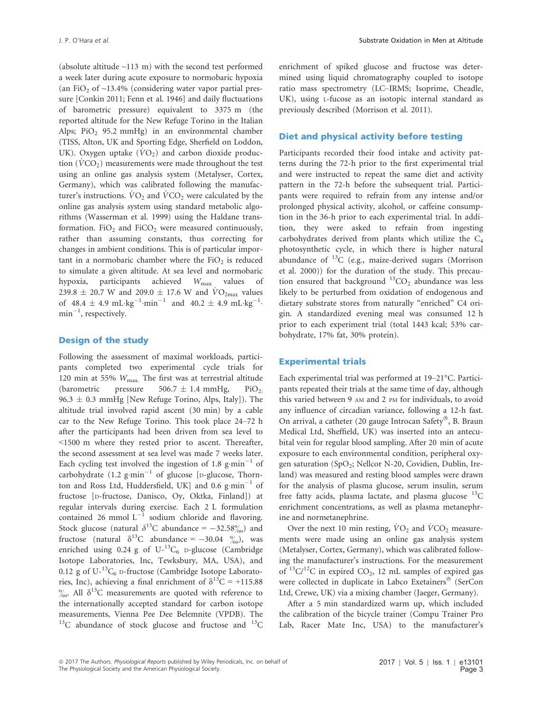(absolute altitude  $\sim$ 113 m) with the second test performed a week later during acute exposure to normobaric hypoxia (an FiO<sub>2</sub> of  $\sim$ 13.4% (considering water vapor partial pressure [Conkin 2011; Fenn et al. 1946] and daily fluctuations of barometric pressure) equivalent to 3375 m (the reported altitude for the New Refuge Torino in the Italian Alps;  $PiO<sub>2</sub>$  95.2 mmHg) in an environmental chamber (TISS, Alton, UK and Sporting Edge, Sherfield on Loddon, UK). Oxygen uptake  $(\dot{V}O_2)$  and carbon dioxide production  $(\dot{V}CO_2)$  measurements were made throughout the test using an online gas analysis system (Metalyser, Cortex, Germany), which was calibrated following the manufacturer's instructions.  $VO_2$  and  $VCO_2$  were calculated by the online gas analysis system using standard metabolic algorithms (Wasserman et al. 1999) using the Haldane transformation.  $FiO<sub>2</sub>$  and  $FiCO<sub>2</sub>$  were measured continuously, rather than assuming constants, thus correcting for changes in ambient conditions. This is of particular important in a normobaric chamber where the  $FiO<sub>2</sub>$  is reduced to simulate a given altitude. At sea level and normobaric hypoxia, participants achieved  $W_{\text{max}}$  values 239.8  $\pm$  20.7 W and 209.0  $\pm$  17.6 W and  $\dot{V}O_{2\text{max}}$  values of  $48.4 \pm 4.9 \text{ mL} \cdot \text{kg}^{-1} \cdot \text{min}^{-1}$  and  $40.2 \pm 4.9 \text{ mL} \cdot \text{kg}^{-1}$ .  $min^{-1}$ , respectively.

#### Design of the study

Following the assessment of maximal workloads, participants completed two experimental cycle trials for 120 min at 55%  $W_{\text{max}}$ . The first was at terrestrial altitude (barometric pressure  $506.7 \pm 1.4$  mmHg, PiO<sub>2</sub>. 96.3  $\pm$  0.3 mmHg [New Refuge Torino, Alps, Italy]). The altitude trial involved rapid ascent (30 min) by a cable car to the New Refuge Torino. This took place 24–72 h after the participants had been driven from sea level to <1500 m where they rested prior to ascent. Thereafter, the second assessment at sea level was made 7 weeks later. Each cycling test involved the ingestion of 1.8 g $\cdot$ min<sup>-1</sup> of carbohydrate  $(1.2 \text{ g-min}^{-1}$  of glucose [D-glucose, Thornton and Ross Ltd, Huddersfield, UK] and 0.6  $\text{g}\cdot\text{min}^{-1}$  of fructose [D-fructose, Danisco, Oy, Oktka, Finland]) at regular intervals during exercise. Each 2 L formulation contained 26 mmol  $L^{-1}$  sodium chloride and flavoring. Stock glucose (natural  $\delta^{13}$ C abundance = -32.58%) and fructose (natural  $\delta^{13}$ C abundance = -30.04  $\frac{\%}{\%}$ ), was enriched using  $0.24$  g of  $U^{-13}C_6$  D-glucose (Cambridge Isotope Laboratories, Inc, Tewksbury, MA, USA), and 0.12 g of  $U^{-13}C_6$  D-fructose (Cambridge Isotope Laboratories, Inc), achieving a final enrichment of  $\delta^{13}C = +115.88$  $\%$ <sup>0</sup> All  $\delta^{13}$ C measurements are quoted with reference to the internationally accepted standard for carbon isotope measurements, Vienna Pee Dee Belemnite (VPDB). The  $^{13}$ C abundance of stock glucose and fructose and  $^{13}$ C enrichment of spiked glucose and fructose was determined using liquid chromatography coupled to isotope ratio mass spectrometry (LC–IRMS; Isoprime, Cheadle, UK), using L-fucose as an isotopic internal standard as previously described (Morrison et al. 2011).

#### Diet and physical activity before testing

Participants recorded their food intake and activity patterns during the 72-h prior to the first experimental trial and were instructed to repeat the same diet and activity pattern in the 72-h before the subsequent trial. Participants were required to refrain from any intense and/or prolonged physical activity, alcohol, or caffeine consumption in the 36-h prior to each experimental trial. In addition, they were asked to refrain from ingesting carbohydrates derived from plants which utilize the C4 photosynthetic cycle, in which there is higher natural abundance of  ${}^{13}C$  (e.g., maize-derived sugars (Morrison et al. 2000)) for the duration of the study. This precaution ensured that background  ${}^{13}CO_2$  abundance was less likely to be perturbed from oxidation of endogenous and dietary substrate stores from naturally "enriched" C4 origin. A standardized evening meal was consumed 12 h prior to each experiment trial (total 1443 kcal; 53% carbohydrate, 17% fat, 30% protein).

#### Experimental trials

Each experimental trial was performed at 19–21°C. Participants repeated their trials at the same time of day, although this varied between 9 AM and 2 PM for individuals, to avoid any influence of circadian variance, following a 12-h fast. On arrival, a catheter (20 gauge Introcan Safety®, B. Braun Medical Ltd, Sheffield, UK) was inserted into an antecubital vein for regular blood sampling. After 20 min of acute exposure to each environmental condition, peripheral oxygen saturation (SpO<sub>2</sub>; Nellcor N-20, Covidien, Dublin, Ireland) was measured and resting blood samples were drawn for the analysis of plasma glucose, serum insulin, serum free fatty acids, plasma lactate, and plasma glucose  $^{13}$ C enrichment concentrations, as well as plasma metanephrine and normetanephrine.

Over the next 10 min resting,  $\dot{V}O_2$  and  $\dot{V}CO_2$  measurements were made using an online gas analysis system (Metalyser, Cortex, Germany), which was calibrated following the manufacturer's instructions. For the measurement of  ${}^{13}C/{}^{12}C$  in expired CO<sub>2</sub>, 12 mL samples of expired gas were collected in duplicate in Labco Exetainers® (SerCon Ltd, Crewe, UK) via a mixing chamber (Jaeger, Germany).

After a 5 min standardized warm up, which included the calibration of the bicycle trainer (Compu Trainer Pro Lab, Racer Mate Inc, USA) to the manufacturer's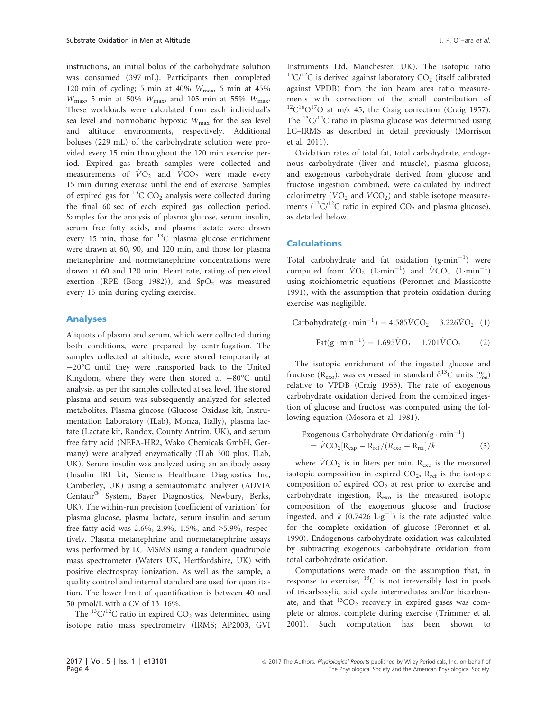instructions, an initial bolus of the carbohydrate solution was consumed (397 mL). Participants then completed 120 min of cycling; 5 min at 40%  $W_{\text{max}}$ , 5 min at 45%  $W_{\text{max}}$ , 5 min at 50%  $W_{\text{max}}$ , and 105 min at 55%  $W_{\text{max}}$ . These workloads were calculated from each individual's sea level and normobaric hypoxic  $W_{\text{max}}$  for the sea level and altitude environments, respectively. Additional boluses (229 mL) of the carbohydrate solution were provided every 15 min throughout the 120 min exercise period. Expired gas breath samples were collected and measurements of  $\dot{V}O_2$  and  $\dot{V}CO_2$  were made every 15 min during exercise until the end of exercise. Samples of expired gas for  ${}^{13}$ C CO<sub>2</sub> analysis were collected during the final 60 sec of each expired gas collection period. Samples for the analysis of plasma glucose, serum insulin, serum free fatty acids, and plasma lactate were drawn every 15 min, those for  $^{13}$ C plasma glucose enrichment were drawn at 60, 90, and 120 min, and those for plasma metanephrine and normetanephrine concentrations were drawn at 60 and 120 min. Heart rate, rating of perceived exertion (RPE (Borg 1982)), and  $SpO<sub>2</sub>$  was measured every 15 min during cycling exercise.

#### Analyses

Aliquots of plasma and serum, which were collected during both conditions, were prepared by centrifugation. The samples collected at altitude, were stored temporarily at  $-20^{\circ}$ C until they were transported back to the United Kingdom, where they were then stored at  $-80^{\circ}$ C until analysis, as per the samples collected at sea level. The stored plasma and serum was subsequently analyzed for selected metabolites. Plasma glucose (Glucose Oxidase kit, Instrumentation Laboratory (ILab), Monza, Itally), plasma lactate (Lactate kit, Randox, County Antrim, UK), and serum free fatty acid (NEFA-HR2, Wako Chemicals GmbH, Germany) were analyzed enzymatically (ILab 300 plus, ILab, UK). Serum insulin was analyzed using an antibody assay (Insulin IRI kit, Siemens Healthcare Diagnostics Inc, Camberley, UK) using a semiautomatic analyzer (ADVIA Centaur<sup>®</sup> System, Bayer Diagnostics, Newbury, Berks, UK). The within-run precision (coefficient of variation) for plasma glucose, plasma lactate, serum insulin and serum free fatty acid was 2.6%, 2.9%, 1.5%, and >5.9%, respectively. Plasma metanephrine and normetanephrine assays was performed by LC–MSMS using a tandem quadrupole mass spectrometer (Waters UK, Hertfordshire, UK) with positive electrospray ionization. As well as the sample, a quality control and internal standard are used for quantitation. The lower limit of quantification is between 40 and 50 pmol/L with a CV of 13–16%.

The  ${}^{13}C/{}^{12}C$  ratio in expired CO<sub>2</sub> was determined using isotope ratio mass spectrometry (IRMS; AP2003, GVI Instruments Ltd, Manchester, UK). The isotopic ratio  $13^1$ C/ $1^2$ C is derived against laboratory CO<sub>2</sub> (itself calibrated against VPDB) from the ion beam area ratio measurements with correction of the small contribution of  ${}^{12}C^{16}O^{17}O$  at m/z 45, the Craig correction (Craig 1957). The  ${}^{13}C/{}^{12}C$  ratio in plasma glucose was determined using LC–IRMS as described in detail previously (Morrison et al. 2011).

Oxidation rates of total fat, total carbohydrate, endogenous carbohydrate (liver and muscle), plasma glucose, and exogenous carbohydrate derived from glucose and fructose ingestion combined, were calculated by indirect calorimetry ( $\dot{V}O_2$  and  $\dot{V}CO_2$ ) and stable isotope measurements  $(^{13}C/^{12}C$  ratio in expired  $CO<sub>2</sub>$  and plasma glucose), as detailed below.

#### **Calculations**

Total carbohydrate and fat oxidation  $(g \text{ min}^{-1})$  were computed from  $\dot{V}O_2$  (L·min<sup>-1</sup>) and  $\dot{V}CO_2$  (L·min<sup>-1</sup>) using stoichiometric equations (Peronnet and Massicotte 1991), with the assumption that protein oxidation during exercise was negligible.

 $Carbohydrate(g \cdot min^{-1}) = 4.585\dot{V}CO_2 - 3.226\dot{V}O_2$  (1)

$$
Fat(g \cdot \min^{-1}) = 1.695\dot{V}O_2 - 1.701\dot{V}CO_2 \tag{2}
$$

The isotopic enrichment of the ingested glucose and fructose (R<sub>exo</sub>), was expressed in standard  $\delta^{13}$ C units ( $\frac{\%}{\%}$ ) relative to VPDB (Craig 1953). The rate of exogenous carbohydrate oxidation derived from the combined ingestion of glucose and fructose was computed using the following equation (Mosora et al. 1981).

Exogenous Carbohydrate Oxidation(g·min<sup>-1</sup>)  
= 
$$
\dot{V}
$$
CO<sub>2</sub>[R<sub>exp</sub> - R<sub>ref</sub>/(R<sub>exo</sub> - R<sub>ref</sub>)/k (3)

where  $\dot{V}CO_2$  is in liters per min,  $R_{exp}$  is the measured isotopic composition in expired  $CO<sub>2</sub>$ ,  $R<sub>ref</sub>$  is the isotopic composition of expired  $CO<sub>2</sub>$  at rest prior to exercise and carbohydrate ingestion, R<sub>exo</sub> is the measured isotopic composition of the exogenous glucose and fructose ingested, and  $k$  (0.7426  $L \cdot g^{-1}$ ) is the rate adjusted value for the complete oxidation of glucose (Peronnet et al. 1990). Endogenous carbohydrate oxidation was calculated by subtracting exogenous carbohydrate oxidation from total carbohydrate oxidation.

Computations were made on the assumption that, in response to exercise,  $^{13}$ C is not irreversibly lost in pools of tricarboxylic acid cycle intermediates and/or bicarbonate, and that  ${}^{13}CO_2$  recovery in expired gases was complete or almost complete during exercise (Trimmer et al. 2001). Such computation has been shown to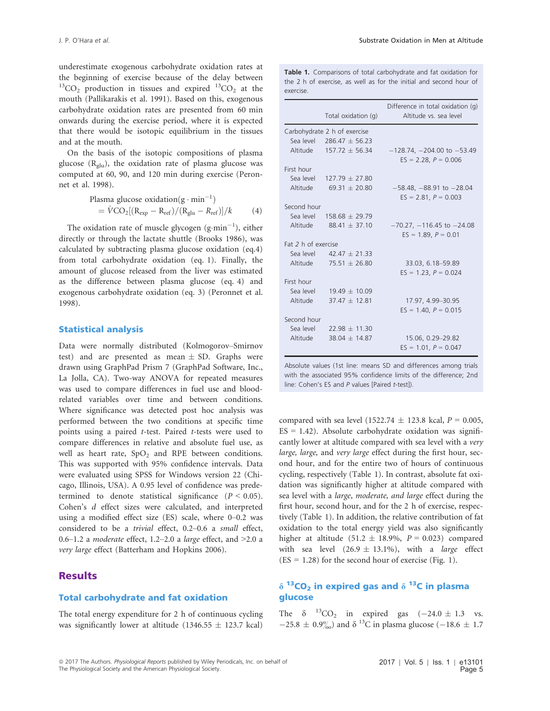underestimate exogenous carbohydrate oxidation rates at the beginning of exercise because of the delay between  $^{13}CO<sub>2</sub>$  production in tissues and expired  $^{13}CO<sub>2</sub>$  at the mouth (Pallikarakis et al. 1991). Based on this, exogenous carbohydrate oxidation rates are presented from 60 min onwards during the exercise period, where it is expected that there would be isotopic equilibrium in the tissues and at the mouth.

On the basis of the isotopic compositions of plasma glucose  $(R_{\text{glu}})$ , the oxidation rate of plasma glucose was computed at 60, 90, and 120 min during exercise (Peronnet et al. 1998).

Plasma glucose oxidation(g·min<sup>-1</sup>)  
= 
$$
\dot{V}
$$
CO<sub>2</sub>[(R<sub>exp</sub> - R<sub>ref</sub>)/(R<sub>glu</sub> - R<sub>ref</sub>)]/k (4)

The oxidation rate of muscle glycogen  $(g\cdot min^{-1})$ , either directly or through the lactate shuttle (Brooks 1986), was calculated by subtracting plasma glucose oxidation (eq.4) from total carbohydrate oxidation (eq. 1). Finally, the amount of glucose released from the liver was estimated as the difference between plasma glucose (eq. 4) and exogenous carbohydrate oxidation (eq. 3) (Peronnet et al. 1998).

# Statistical analysis

Data were normally distributed (Kolmogorov–Smirnov test) and are presented as mean  $\pm$  SD. Graphs were drawn using GraphPad Prism 7 (GraphPad Software, Inc., La Jolla, CA). Two-way ANOVA for repeated measures was used to compare differences in fuel use and bloodrelated variables over time and between conditions. Where significance was detected post hoc analysis was performed between the two conditions at specific time points using a paired t-test. Paired t-tests were used to compare differences in relative and absolute fuel use, as well as heart rate,  $SpO<sub>2</sub>$  and RPE between conditions. This was supported with 95% confidence intervals. Data were evaluated using SPSS for Windows version 22 (Chicago, Illinois, USA). A 0.95 level of confidence was predetermined to denote statistical significance  $(P < 0.05)$ . Cohen's d effect sizes were calculated, and interpreted using a modified effect size (ES) scale, where 0–0.2 was considered to be a trivial effect, 0.2–0.6 a small effect, 0.6–1.2 a moderate effect, 1.2–2.0 a large effect, and  $>2.0$  a very large effect (Batterham and Hopkins 2006).

# Results

# Total carbohydrate and fat oxidation

The total energy expenditure for 2 h of continuous cycling was significantly lower at altitude (1346.55  $\pm$  123.7 kcal)

Table 1. Comparisons of total carbohydrate and fat oxidation for the 2 h of exercise, as well as for the initial and second hour of exercise.

|                     |                              | Difference in total oxidation (g) |  |  |  |
|---------------------|------------------------------|-----------------------------------|--|--|--|
|                     | Total oxidation (g)          | Altitude vs. sea level            |  |  |  |
|                     | Carbohydrate 2 h of exercise |                                   |  |  |  |
|                     | Sea level 286.47 $\pm$ 56.23 |                                   |  |  |  |
|                     | Altitude $157.72 \pm 56.34$  | $-128.74, -204.00$ to $-53.49$    |  |  |  |
|                     |                              | $ES = 2.28, P = 0.006$            |  |  |  |
| First hour          |                              |                                   |  |  |  |
|                     | Sea level $127.79 \pm 27.80$ |                                   |  |  |  |
|                     | Altitude $69.31 \pm 20.80$   | $-58.48, -88.91$ to $-28.04$      |  |  |  |
|                     |                              | $ES = 2.81, P = 0.003$            |  |  |  |
| Second hour         |                              |                                   |  |  |  |
|                     | Sea level 158.68 $\pm$ 29.79 |                                   |  |  |  |
|                     | Altitude $88.41 \pm 37.10$   | $-70.27, -116.45$ to $-24.08$     |  |  |  |
|                     |                              | $ES = 1.89, P = 0.01$             |  |  |  |
| Fat 2 h of exercise |                              |                                   |  |  |  |
|                     | Sea level $42.47 \pm 21.33$  |                                   |  |  |  |
|                     | Altitude $75.51 \pm 26.80$   | 33.03, 6.18-59.89                 |  |  |  |
|                     |                              | $ES = 1.23$ , $P = 0.024$         |  |  |  |
| First hour          |                              |                                   |  |  |  |
|                     | Sea level $19.49 \pm 10.09$  |                                   |  |  |  |
| Altitude            | $37.47 \pm 12.81$            | 17.97, 4.99-30.95                 |  |  |  |
|                     |                              | $ES = 1.40, P = 0.015$            |  |  |  |
| Second hour         |                              |                                   |  |  |  |
|                     | Sea level $22.98 \pm 11.30$  |                                   |  |  |  |
| Altitude            | $38.04 \pm 14.87$            | 15.06, 0.29-29.82                 |  |  |  |
|                     |                              | $ES = 1.01, P = 0.047$            |  |  |  |

Absolute values (1st line: means SD and differences among trials with the associated 95% confidence limits of the difference; 2nd line: Cohen's ES and P values [Paired t-test]).

compared with sea level (1522.74  $\pm$  123.8 kcal,  $P = 0.005$ ,  $ES = 1.42$ ). Absolute carbohydrate oxidation was significantly lower at altitude compared with sea level with a very large, large, and very large effect during the first hour, second hour, and for the entire two of hours of continuous cycling, respectively (Table 1). In contrast, absolute fat oxidation was significantly higher at altitude compared with sea level with a large, moderate, and large effect during the first hour, second hour, and for the 2 h of exercise, respectively (Table 1). In addition, the relative contribution of fat oxidation to the total energy yield was also significantly higher at altitude (51.2  $\pm$  18.9%, P = 0.023) compared with sea level  $(26.9 \pm 13.1\%)$ , with a large effect  $(ES = 1.28)$  for the second hour of exercise (Fig. 1).

# $\delta$  <sup>13</sup>CO<sub>2</sub> in expired gas and  $\delta$  <sup>13</sup>C in plasma glucose

The  $\delta$  <sup>13</sup>CO<sub>2</sub> in expired gas  $(-24.0 \pm 1.3 \text{ vs.}$  $-25.8 \pm 0.9\%$ ) and  $\delta^{13}$ C in plasma glucose (-18.6  $\pm$  1.7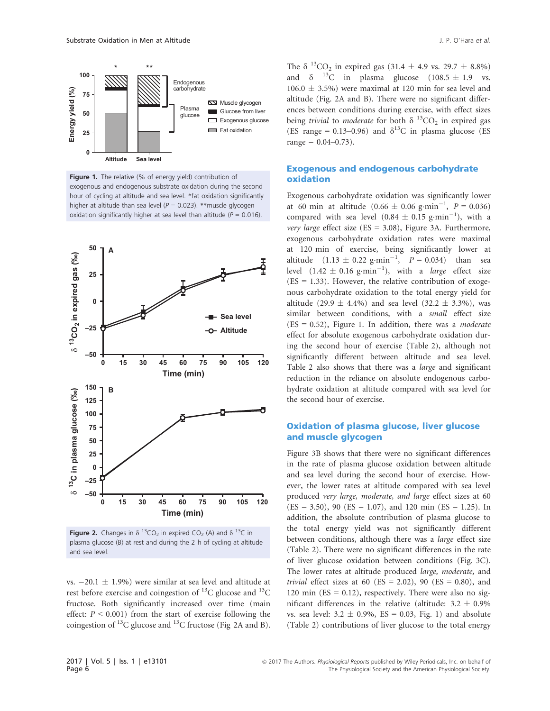

Figure 1. The relative (% of energy yield) contribution of exogenous and endogenous substrate oxidation during the second hour of cycling at altitude and sea level. \*fat oxidation significantly higher at altitude than sea level ( $P = 0.023$ ). \*\*muscle glycogen oxidation significantly higher at sea level than altitude ( $P = 0.016$ ).



**Figure 2.** Changes in  $\delta$  <sup>13</sup>CO<sub>2</sub> in expired CO<sub>2</sub> (A) and  $\delta$  <sup>13</sup>C in plasma glucose (B) at rest and during the 2 h of cycling at altitude and sea level.

vs.  $-20.1 \pm 1.9\%$ ) were similar at sea level and altitude at rest before exercise and coingestion of <sup>13</sup>C glucose and <sup>13</sup>C fructose. Both significantly increased over time (main effect:  $P \le 0.001$ ) from the start of exercise following the coingestion of  $^{13}$ C glucose and  $^{13}$ C fructose (Fig 2A and B). The  $\delta^{13}$ CO<sub>2</sub> in expired gas (31.4  $\pm$  4.9 vs. 29.7  $\pm$  8.8%) and  $\delta$  <sup>13</sup>C in plasma glucose (108.5  $\pm$  1.9 vs.  $106.0 \pm 3.5\%$ ) were maximal at 120 min for sea level and altitude (Fig. 2A and B). There were no significant differences between conditions during exercise, with effect sizes being *trivial* to *moderate* for both  $\delta^{13}CO_2$  in expired gas (ES range = 0.13–0.96) and  $\delta^{13}$ C in plasma glucose (ES  $range = 0.04 - 0.73$ .

## Exogenous and endogenous carbohydrate oxidation

Exogenous carbohydrate oxidation was significantly lower at 60 min at altitude  $(0.66 \pm 0.06 \text{ g} \cdot \text{min}^{-1}, P = 0.036)$ compared with sea level  $(0.84 \pm 0.15 \text{ g}\cdot \text{min}^{-1})$ , with a very large effect size ( $ES = 3.08$ ), Figure 3A. Furthermore, exogenous carbohydrate oxidation rates were maximal at 120 min of exercise, being significantly lower at altitude  $(1.13 \pm 0.22 \text{ g} \cdot \text{min}^{-1}, P = 0.034)$  than sea level  $(1.42 \pm 0.16 \text{ g} \cdot \text{min}^{-1})$ , with a *large* effect size  $(ES = 1.33)$ . However, the relative contribution of exogenous carbohydrate oxidation to the total energy yield for altitude (29.9  $\pm$  4.4%) and sea level (32.2  $\pm$  3.3%), was similar between conditions, with a small effect size  $(ES = 0.52)$ , Figure 1. In addition, there was a *moderate* effect for absolute exogenous carbohydrate oxidation during the second hour of exercise (Table 2), although not significantly different between altitude and sea level. Table 2 also shows that there was a large and significant reduction in the reliance on absolute endogenous carbohydrate oxidation at altitude compared with sea level for the second hour of exercise.

# Oxidation of plasma glucose, liver glucose and muscle glycogen

Figure 3B shows that there were no significant differences in the rate of plasma glucose oxidation between altitude and sea level during the second hour of exercise. However, the lower rates at altitude compared with sea level produced very large, moderate, and large effect sizes at 60  $(ES = 3.50)$ , 90  $(ES = 1.07)$ , and 120 min  $(ES = 1.25)$ . In addition, the absolute contribution of plasma glucose to the total energy yield was not significantly different between conditions, although there was a large effect size (Table 2). There were no significant differences in the rate of liver glucose oxidation between conditions (Fig. 3C). The lower rates at altitude produced large, moderate, and *trivial* effect sizes at 60 (ES = 2.02), 90 (ES = 0.80), and 120 min ( $ES = 0.12$ ), respectively. There were also no significant differences in the relative (altitude:  $3.2 \pm 0.9\%$ vs. sea level:  $3.2 \pm 0.9\%$ , ES = 0.03, Fig. 1) and absolute (Table 2) contributions of liver glucose to the total energy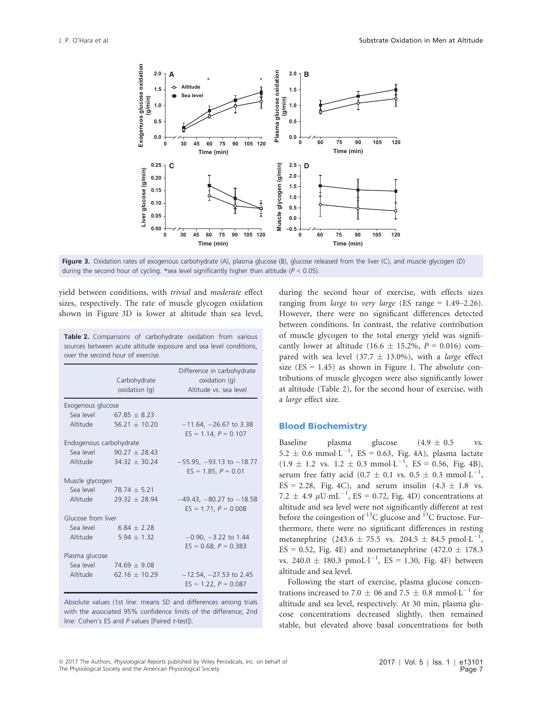

Figure 3. Oxidation rates of exogenous carbohydrate (A), plasma glucose (B), glucose released from the liver (C), and muscle glycogen (D) during the second hour of cycling. \*sea level significantly higher than altitude ( $P < 0.05$ ).

yield between conditions, with trivial and moderate effect sizes, respectively. The rate of muscle glycogen oxidation shown in Figure 3D is lower at altitude than sea level,

Table 2. Comparisons of carbohydrate oxidation from various sources between acute altitude exposure and sea level conditions, over the second hour of exercise.

|                         | Carbohydrate<br>oxidation (g)     | Difference in carbohydrate<br>oxidation(q)<br>Altitude vs. sea level |  |  |
|-------------------------|-----------------------------------|----------------------------------------------------------------------|--|--|
| Exogenous glucose       |                                   |                                                                      |  |  |
|                         | Sea level $67.85 \pm 8.23$        |                                                                      |  |  |
| Altitude                | $56.21 + 10.20$                   | $-11.64$ , $-26.67$ to 3.38<br>$ES = 1.14, P = 0.107$                |  |  |
| Endogenous carbohydrate |                                   |                                                                      |  |  |
|                         | Sea level 90.27 $\pm$ 28.43       |                                                                      |  |  |
|                         | $\lambda$ ltitude $34.32 + 30.24$ | $-55.95, -93.13$ to $-18.77$<br>$ES = 1.85, P = 0.01$                |  |  |
| Muscle glycogen         |                                   |                                                                      |  |  |
|                         | Sea level $78.74 + 5.21$          |                                                                      |  |  |
| Altitude                | $29.32 + 28.94$                   | $-49.43, -80.27$ to $-18.58$<br>$ES = 1.71$ , $P = 0.008$            |  |  |
| Glucose from liver      |                                   |                                                                      |  |  |
|                         | Sea level $6.84 \pm 2.28$         |                                                                      |  |  |
| Altitude                | $5.94 \pm 1.32$                   | $-0.90, -3.22$ to 1.44<br>$ES = 0.68, P = 0.383$                     |  |  |
| Plasma glucose          |                                   |                                                                      |  |  |
|                         | Sea level $74.69 + 9.08$          |                                                                      |  |  |
| Altitude                | 62.16 $\pm$ 10.29                 | $-12.54, -27.53$ to 2.45<br>$ES = 1.22$ , $P = 0.087$                |  |  |

Absolute values (1st line: means SD and differences among trials with the associated 95% confidence limits of the difference; 2nd line: Cohen's ES and P values [Paired t-test]).

during the second hour of exercise, with effects sizes ranging from *large* to *very large* (ES range  $= 1.49 - 2.26$ ). However, there were no significant differences detected between conditions. In contrast, the relative contribution of muscle glycogen to the total energy yield was significantly lower at altitude (16.6  $\pm$  15.2%, P = 0.016) compared with sea level (37.7  $\pm$  13.0%), with a *large* effect size  $(ES = 1.45)$  as shown in Figure 1. The absolute contributions of muscle glycogen were also significantly lower at altitude (Table 2), for the second hour of exercise, with a large effect size.

#### Blood Biochemistry

Baseline plasma glucose  $(4.9 \pm 0.5 \text{ vs.})$  $5.2 \pm 0.6 \, \text{mmol} \cdot \text{L}^{-1}$ , ES = 0.63, Fig. 4A), plasma lactate  $(1.9 \pm 1.2 \text{ vs. } 1.2 \pm 0.3 \text{ mmol} \cdot \text{L}^{-1}, \text{ ES} = 0.56, \text{ Fig. 4B}),$ serum free fatty acid  $(0.7 \pm 0.1 \text{ vs. } 0.5 \pm 0.3 \text{ mmol·L}^{-1})$ ,  $ES = 2.28$ , Fig. 4C), and serum insulin  $(4.3 \pm 1.8 \text{ vs.})$ 7.2  $\pm$  4.9  $\mu$ U·mL<sup>-1</sup>, ES = 0.72, Fig. 4D) concentrations at altitude and sea level were not significantly different at rest before the coingestion of  $^{13}$ C glucose and  $^{13}$ C fructose. Furthermore, there were no significant differences in resting metanephrine  $(243.6 \pm 75.5 \text{ vs. } 204.5 \pm 84.5 \text{ pmol·L}^{-1})$ ,  $ES = 0.52$ , Fig. 4E) and normetanephrine (472.0  $\pm$  178.3 vs.  $240.0 \pm 180.3 \, \text{pmoL·l}^{-1}$ , ES = 1.30, Fig. 4F) between altitude and sea level.

Following the start of exercise, plasma glucose concentrations increased to 7.0  $\pm$  06 and 7.5  $\pm$  0.8 mmol $\cdot$ L<sup>-1</sup> for altitude and sea level, respectively. At 30 min, plasma glucose concentrations decreased slightly, then remained stable, but elevated above basal concentrations for both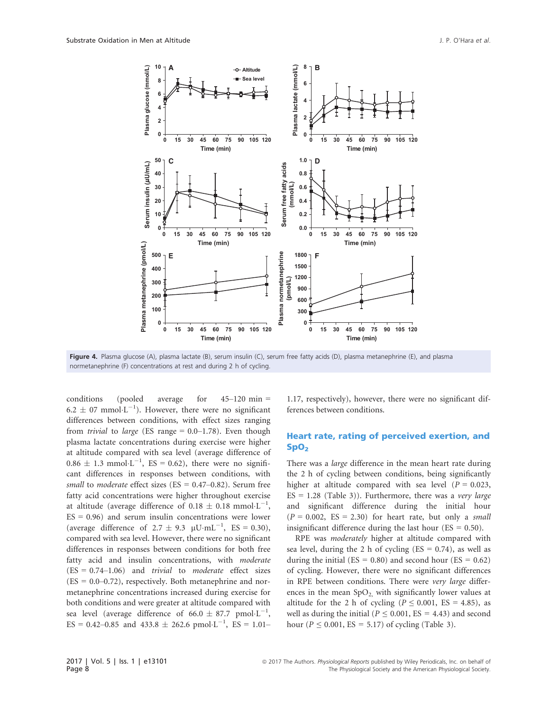

Figure 4. Plasma glucose (A), plasma lactate (B), serum insulin (C), serum free fatty acids (D), plasma metanephrine (E), and plasma normetanephrine (F) concentrations at rest and during 2 h of cycling.

conditions (pooled average for 45–120 min =  $6.2 \pm 07$  mmol·L<sup>-1</sup>). However, there were no significant differences between conditions, with effect sizes ranging from *trivial* to *large* (ES range  $= 0.0 - 1.78$ ). Even though plasma lactate concentrations during exercise were higher at altitude compared with sea level (average difference of  $0.86 \pm 1.3 \text{ mmol} \cdot \text{L}^{-1}$ , ES = 0.62), there were no significant differences in responses between conditions, with small to moderate effect sizes (ES =  $0.47-0.82$ ). Serum free fatty acid concentrations were higher throughout exercise at altitude (average difference of  $0.18 \pm 0.18$  mmol $\cdot L^{-1}$ ,  $ES = 0.96$ ) and serum insulin concentrations were lower (average difference of  $2.7 \pm 9.3 \, \mu \text{U} \cdot \text{mL}^{-1}$ , ES = 0.30), compared with sea level. However, there were no significant differences in responses between conditions for both free fatty acid and insulin concentrations, with *moderate*  $(ES = 0.74-1.06)$  and *trivial* to *moderate* effect sizes  $(ES = 0.0 - 0.72)$ , respectively. Both metanephrine and normetanephrine concentrations increased during exercise for both conditions and were greater at altitude compared with sea level (average difference of  $66.0 \pm 87.7$  pmol·L<sup>-1</sup>,  $ES = 0.42{\text{-}}0.85$  and  $433.8 \pm 262.6$  pmol·L<sup>-1</sup>,  $ES = 1.01{\text{-}}$ 

1.17, respectively), however, there were no significant differences between conditions.

# Heart rate, rating of perceived exertion, and  $SpO<sub>2</sub>$

There was a *large* difference in the mean heart rate during the 2 h of cycling between conditions, being significantly higher at altitude compared with sea level ( $P = 0.023$ ,  $ES = 1.28$  (Table 3)). Furthermore, there was a *very large* and significant difference during the initial hour  $(P = 0.002, ES = 2.30)$  for heart rate, but only a small insignificant difference during the last hour ( $ES = 0.50$ ).

RPE was moderately higher at altitude compared with sea level, during the 2 h of cycling  $(ES = 0.74)$ , as well as during the initial ( $ES = 0.80$ ) and second hour ( $ES = 0.62$ ) of cycling. However, there were no significant differences in RPE between conditions. There were very large differences in the mean  $SpO<sub>2</sub>$ , with significantly lower values at altitude for the 2 h of cycling ( $P \le 0.001$ , ES = 4.85), as well as during the initial ( $P \le 0.001$ , ES = 4.43) and second hour ( $P \le 0.001$ , ES = 5.17) of cycling (Table 3).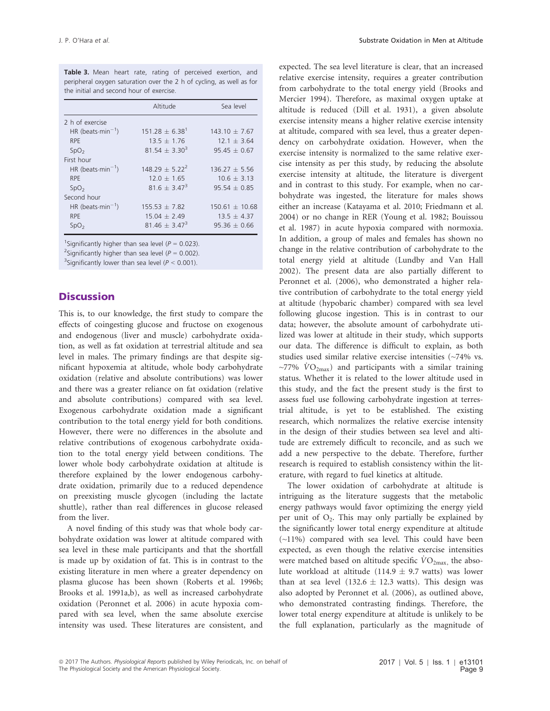Table 3. Mean heart rate, rating of perceived exertion, and peripheral oxygen saturation over the 2 h of cycling, as well as for the initial and second hour of exercise.

|                               | Altitude             | Sea level          |
|-------------------------------|----------------------|--------------------|
| 2 h of exercise               |                      |                    |
| HR (beats-min <sup>-1</sup> ) | $151\,28 + 6\,38^1$  | $143.10 + 7.67$    |
| <b>RPE</b>                    | $13.5 + 1.76$        | $12.1 + 3.64$      |
| SpO <sub>2</sub>              | $81.54 + 3.30^{3}$   | $95.45 + 0.67$     |
| First hour                    |                      |                    |
| HR (beats $min^{-1}$ )        | $148.29 \pm 5.22^2$  | $136.27 + 5.56$    |
| <b>RPE</b>                    | $12.0 + 1.65$        | $10.6 + 3.13$      |
| SpO <sub>2</sub>              | $816 + 347^{3}$      | $95.54 + 0.85$     |
| Second hour                   |                      |                    |
| HR (beats $min^{-1}$ )        | $155.53 + 7.82$      | $150.61 \pm 10.68$ |
| <b>RPE</b>                    | $15.04 + 2.49$       | $13.5 + 4.37$      |
| SpO <sub>2</sub>              | $81.46 \pm 3.47^{3}$ | $95.36 + 0.66$     |

<sup>1</sup>Significantly higher than sea level ( $P = 0.023$ ).

<sup>2</sup>Significantly higher than sea level ( $P = 0.002$ ).

<sup>3</sup>Significantly lower than sea level ( $P < 0.001$ ).

# **Discussion**

This is, to our knowledge, the first study to compare the effects of coingesting glucose and fructose on exogenous and endogenous (liver and muscle) carbohydrate oxidation, as well as fat oxidation at terrestrial altitude and sea level in males. The primary findings are that despite significant hypoxemia at altitude, whole body carbohydrate oxidation (relative and absolute contributions) was lower and there was a greater reliance on fat oxidation (relative and absolute contributions) compared with sea level. Exogenous carbohydrate oxidation made a significant contribution to the total energy yield for both conditions. However, there were no differences in the absolute and relative contributions of exogenous carbohydrate oxidation to the total energy yield between conditions. The lower whole body carbohydrate oxidation at altitude is therefore explained by the lower endogenous carbohydrate oxidation, primarily due to a reduced dependence on preexisting muscle glycogen (including the lactate shuttle), rather than real differences in glucose released from the liver.

A novel finding of this study was that whole body carbohydrate oxidation was lower at altitude compared with sea level in these male participants and that the shortfall is made up by oxidation of fat. This is in contrast to the existing literature in men where a greater dependency on plasma glucose has been shown (Roberts et al. 1996b; Brooks et al. 1991a,b), as well as increased carbohydrate oxidation (Peronnet et al. 2006) in acute hypoxia compared with sea level, when the same absolute exercise intensity was used. These literatures are consistent, and

expected. The sea level literature is clear, that an increased relative exercise intensity, requires a greater contribution from carbohydrate to the total energy yield (Brooks and Mercier 1994). Therefore, as maximal oxygen uptake at altitude is reduced (Dill et al. 1931), a given absolute exercise intensity means a higher relative exercise intensity at altitude, compared with sea level, thus a greater dependency on carbohydrate oxidation. However, when the exercise intensity is normalized to the same relative exercise intensity as per this study, by reducing the absolute exercise intensity at altitude, the literature is divergent and in contrast to this study. For example, when no carbohydrate was ingested, the literature for males shows either an increase (Katayama et al. 2010; Friedmann et al. 2004) or no change in RER (Young et al. 1982; Bouissou et al. 1987) in acute hypoxia compared with normoxia. In addition, a group of males and females has shown no change in the relative contribution of carbohydrate to the total energy yield at altitude (Lundby and Van Hall 2002). The present data are also partially different to Peronnet et al. (2006), who demonstrated a higher relative contribution of carbohydrate to the total energy yield at altitude (hypobaric chamber) compared with sea level following glucose ingestion. This is in contrast to our data; however, the absolute amount of carbohydrate utilized was lower at altitude in their study, which supports our data. The difference is difficult to explain, as both studies used similar relative exercise intensities (~74% vs.  $\sim$ 77%  $\rm{VO_{2max}}$ ) and participants with a similar training status. Whether it is related to the lower altitude used in this study, and the fact the present study is the first to assess fuel use following carbohydrate ingestion at terrestrial altitude, is yet to be established. The existing research, which normalizes the relative exercise intensity in the design of their studies between sea level and altitude are extremely difficult to reconcile, and as such we add a new perspective to the debate. Therefore, further research is required to establish consistency within the literature, with regard to fuel kinetics at altitude.

The lower oxidation of carbohydrate at altitude is intriguing as the literature suggests that the metabolic energy pathways would favor optimizing the energy yield per unit of  $O_2$ . This may only partially be explained by the significantly lower total energy expenditure at altitude (~11%) compared with sea level. This could have been expected, as even though the relative exercise intensities were matched based on altitude specific  $\dot{V}O_{2\text{max}}$ , the absolute workload at altitude (114.9  $\pm$  9.7 watts) was lower than at sea level (132.6  $\pm$  12.3 watts). This design was also adopted by Peronnet et al. (2006), as outlined above, who demonstrated contrasting findings. Therefore, the lower total energy expenditure at altitude is unlikely to be the full explanation, particularly as the magnitude of

<sup>ª</sup> 2017 The Authors. Physiological Reports published by Wiley Periodicals, Inc. on behalf of The Physiological Society and the American Physiological Society.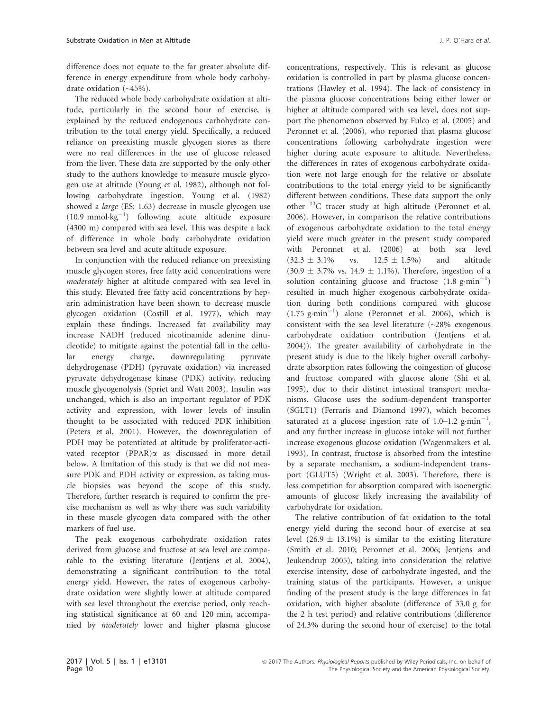difference does not equate to the far greater absolute difference in energy expenditure from whole body carbohydrate oxidation (~45%).

The reduced whole body carbohydrate oxidation at altitude, particularly in the second hour of exercise, is explained by the reduced endogenous carbohydrate contribution to the total energy yield. Specifically, a reduced reliance on preexisting muscle glycogen stores as there were no real differences in the use of glucose released from the liver. These data are supported by the only other study to the authors knowledge to measure muscle glycogen use at altitude (Young et al. 1982), although not following carbohydrate ingestion. Young et al. (1982) showed a large (ES: 1.63) decrease in muscle glycogen use  $(10.9 \text{ mmol·kg}^{-1})$  following acute altitude exposure (4300 m) compared with sea level. This was despite a lack of difference in whole body carbohydrate oxidation between sea level and acute altitude exposure.

In conjunction with the reduced reliance on preexisting muscle glycogen stores, free fatty acid concentrations were moderately higher at altitude compared with sea level in this study. Elevated free fatty acid concentrations by heparin administration have been shown to decrease muscle glycogen oxidation (Costill et al. 1977), which may explain these findings. Increased fat availability may increase NADH (reduced nicotinamide adenine dinucleotide) to mitigate against the potential fall in the cellular energy charge, downregulating pyruvate dehydrogenase (PDH) (pyruvate oxidation) via increased pyruvate dehydrogenase kinase (PDK) activity, reducing muscle glycogenolysis (Spriet and Watt 2003). Insulin was unchanged, which is also an important regulator of PDK activity and expression, with lower levels of insulin thought to be associated with reduced PDK inhibition (Peters et al. 2001). However, the downregulation of PDH may be potentiated at altitude by proliferator-activated receptor (PPAR)a as discussed in more detail below. A limitation of this study is that we did not measure PDK and PDH activity or expression, as taking muscle biopsies was beyond the scope of this study. Therefore, further research is required to confirm the precise mechanism as well as why there was such variability in these muscle glycogen data compared with the other markers of fuel use.

The peak exogenous carbohydrate oxidation rates derived from glucose and fructose at sea level are comparable to the existing literature (Jentjens et al. 2004), demonstrating a significant contribution to the total energy yield. However, the rates of exogenous carbohydrate oxidation were slightly lower at altitude compared with sea level throughout the exercise period, only reaching statistical significance at 60 and 120 min, accompanied by moderately lower and higher plasma glucose concentrations, respectively. This is relevant as glucose oxidation is controlled in part by plasma glucose concentrations (Hawley et al. 1994). The lack of consistency in the plasma glucose concentrations being either lower or higher at altitude compared with sea level, does not support the phenomenon observed by Fulco et al. (2005) and Peronnet et al. (2006), who reported that plasma glucose concentrations following carbohydrate ingestion were higher during acute exposure to altitude. Nevertheless, the differences in rates of exogenous carbohydrate oxidation were not large enough for the relative or absolute contributions to the total energy yield to be significantly different between conditions. These data support the only other 13C tracer study at high altitude (Peronnet et al. 2006). However, in comparison the relative contributions of exogenous carbohydrate oxidation to the total energy yield were much greater in the present study compared with Peronnet et al. (2006) at both sea level  $(32.3 \pm 3.1\%)$  vs.  $12.5 \pm 1.5\%)$  and altitude  $(30.9 \pm 3.7\% \text{ vs. } 14.9 \pm 1.1\%)$ . Therefore, ingestion of a solution containing glucose and fructose  $(1.8 \text{ g}\cdot\text{min}^{-1})$ resulted in much higher exogenous carbohydrate oxidation during both conditions compared with glucose  $(1.75 \text{ g}\cdot \text{min}^{-1})$  alone (Peronnet et al. 2006), which is consistent with the sea level literature  $(\sim 28\%$  exogenous carbohydrate oxidation contribution (Jentjens et al. 2004)). The greater availability of carbohydrate in the present study is due to the likely higher overall carbohydrate absorption rates following the coingestion of glucose and fructose compared with glucose alone (Shi et al. 1995), due to their distinct intestinal transport mechanisms. Glucose uses the sodium-dependent transporter (SGLT1) (Ferraris and Diamond 1997), which becomes saturated at a glucose ingestion rate of  $1.0-1.2$  g·min<sup>-1</sup>, and any further increase in glucose intake will not further increase exogenous glucose oxidation (Wagenmakers et al. 1993). In contrast, fructose is absorbed from the intestine by a separate mechanism, a sodium-independent transport (GLUT5) (Wright et al. 2003). Therefore, there is less competition for absorption compared with isoenergtic amounts of glucose likely increasing the availability of carbohydrate for oxidation.

The relative contribution of fat oxidation to the total energy yield during the second hour of exercise at sea level  $(26.9 \pm 13.1\%)$  is similar to the existing literature (Smith et al. 2010; Peronnet et al. 2006; Jentjens and Jeukendrup 2005), taking into consideration the relative exercise intensity, dose of carbohydrate ingested, and the training status of the participants. However, a unique finding of the present study is the large differences in fat oxidation, with higher absolute (difference of 33.0 g for the 2 h test period) and relative contributions (difference of 24.3% during the second hour of exercise) to the total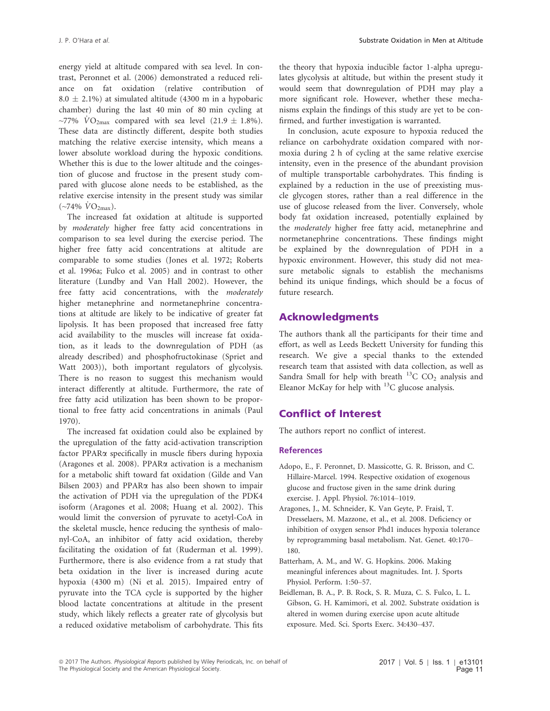energy yield at altitude compared with sea level. In contrast, Peronnet et al. (2006) demonstrated a reduced reliance on fat oxidation (relative contribution of  $8.0 \pm 2.1\%$ ) at simulated altitude (4300 m in a hypobaric chamber) during the last 40 min of 80 min cycling at ~77%  $\dot{V}O_{2\text{max}}$  compared with sea level (21.9  $\pm$  1.8%). These data are distinctly different, despite both studies matching the relative exercise intensity, which means a lower absolute workload during the hypoxic conditions. Whether this is due to the lower altitude and the coingestion of glucose and fructose in the present study compared with glucose alone needs to be established, as the relative exercise intensity in the present study was similar  $(\sim 74\% \text{ VO}_{2\text{max}}).$ 

The increased fat oxidation at altitude is supported by moderately higher free fatty acid concentrations in comparison to sea level during the exercise period. The higher free fatty acid concentrations at altitude are comparable to some studies (Jones et al. 1972; Roberts et al. 1996a; Fulco et al. 2005) and in contrast to other literature (Lundby and Van Hall 2002). However, the free fatty acid concentrations, with the moderately higher metanephrine and normetanephrine concentrations at altitude are likely to be indicative of greater fat lipolysis. It has been proposed that increased free fatty acid availability to the muscles will increase fat oxidation, as it leads to the downregulation of PDH (as already described) and phosphofructokinase (Spriet and Watt 2003)), both important regulators of glycolysis. There is no reason to suggest this mechanism would interact differently at altitude. Furthermore, the rate of free fatty acid utilization has been shown to be proportional to free fatty acid concentrations in animals (Paul 1970).

The increased fat oxidation could also be explained by the upregulation of the fatty acid-activation transcription factor PPARa specifically in muscle fibers during hypoxia (Aragones et al. 2008). PPARa activation is a mechanism for a metabolic shift toward fat oxidation (Gilde and Van Bilsen 2003) and PPARa has also been shown to impair the activation of PDH via the upregulation of the PDK4 isoform (Aragones et al. 2008; Huang et al. 2002). This would limit the conversion of pyruvate to acetyl-CoA in the skeletal muscle, hence reducing the synthesis of malonyl-CoA, an inhibitor of fatty acid oxidation, thereby facilitating the oxidation of fat (Ruderman et al. 1999). Furthermore, there is also evidence from a rat study that beta oxidation in the liver is increased during acute hypoxia (4300 m) (Ni et al. 2015). Impaired entry of pyruvate into the TCA cycle is supported by the higher blood lactate concentrations at altitude in the present study, which likely reflects a greater rate of glycolysis but a reduced oxidative metabolism of carbohydrate. This fits the theory that hypoxia inducible factor 1-alpha upregulates glycolysis at altitude, but within the present study it would seem that downregulation of PDH may play a more significant role. However, whether these mechanisms explain the findings of this study are yet to be confirmed, and further investigation is warranted.

In conclusion, acute exposure to hypoxia reduced the reliance on carbohydrate oxidation compared with normoxia during 2 h of cycling at the same relative exercise intensity, even in the presence of the abundant provision of multiple transportable carbohydrates. This finding is explained by a reduction in the use of preexisting muscle glycogen stores, rather than a real difference in the use of glucose released from the liver. Conversely, whole body fat oxidation increased, potentially explained by the moderately higher free fatty acid, metanephrine and normetanephrine concentrations. These findings might be explained by the downregulation of PDH in a hypoxic environment. However, this study did not measure metabolic signals to establish the mechanisms behind its unique findings, which should be a focus of future research.

# Acknowledgments

The authors thank all the participants for their time and effort, as well as Leeds Beckett University for funding this research. We give a special thanks to the extended research team that assisted with data collection, as well as Sandra Small for help with breath  $^{13}$ C CO<sub>2</sub> analysis and Eleanor McKay for help with  $^{13}$ C glucose analysis.

# Conflict of Interest

The authors report no conflict of interest.

#### **References**

- Adopo, E., F. Peronnet, D. Massicotte, G. R. Brisson, and C. Hillaire-Marcel. 1994. Respective oxidation of exogenous glucose and fructose given in the same drink during exercise. J. Appl. Physiol. 76:1014–1019.
- Aragones, J., M. Schneider, K. Van Geyte, P. Fraisl, T. Dresselaers, M. Mazzone, et al., et al. 2008. Deficiency or inhibition of oxygen sensor Phd1 induces hypoxia tolerance by reprogramming basal metabolism. Nat. Genet. 40:170– 180.
- Batterham, A. M., and W. G. Hopkins. 2006. Making meaningful inferences about magnitudes. Int. J. Sports Physiol. Perform. 1:50–57.
- Beidleman, B. A., P. B. Rock, S. R. Muza, C. S. Fulco, L. L. Gibson, G. H. Kamimori, et al. 2002. Substrate oxidation is altered in women during exercise upon acute altitude exposure. Med. Sci. Sports Exerc. 34:430–437.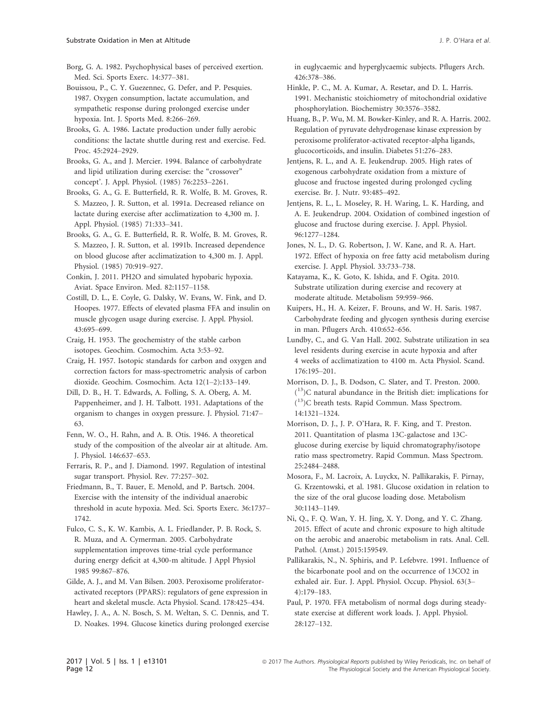Borg, G. A. 1982. Psychophysical bases of perceived exertion. Med. Sci. Sports Exerc. 14:377–381.

Bouissou, P., C. Y. Guezennec, G. Defer, and P. Pesquies. 1987. Oxygen consumption, lactate accumulation, and sympathetic response during prolonged exercise under hypoxia. Int. J. Sports Med. 8:266–269.

Brooks, G. A. 1986. Lactate production under fully aerobic conditions: the lactate shuttle during rest and exercise. Fed. Proc. 45:2924–2929.

Brooks, G. A., and J. Mercier. 1994. Balance of carbohydrate and lipid utilization during exercise: the "crossover" concept'. J. Appl. Physiol. (1985) 76:2253–2261.

Brooks, G. A., G. E. Butterfield, R. R. Wolfe, B. M. Groves, R. S. Mazzeo, J. R. Sutton, et al. 1991a. Decreased reliance on lactate during exercise after acclimatization to 4,300 m. J. Appl. Physiol. (1985) 71:333–341.

Brooks, G. A., G. E. Butterfield, R. R. Wolfe, B. M. Groves, R. S. Mazzeo, J. R. Sutton, et al. 1991b. Increased dependence on blood glucose after acclimatization to 4,300 m. J. Appl. Physiol. (1985) 70:919–927.

Conkin, J. 2011. PH2O and simulated hypobaric hypoxia. Aviat. Space Environ. Med. 82:1157–1158.

Costill, D. L., E. Coyle, G. Dalsky, W. Evans, W. Fink, and D. Hoopes. 1977. Effects of elevated plasma FFA and insulin on muscle glycogen usage during exercise. J. Appl. Physiol. 43:695–699.

Craig, H. 1953. The geochemistry of the stable carbon isotopes. Geochim. Cosmochim. Acta 3:53–92.

Craig, H. 1957. Isotopic standards for carbon and oxygen and correction factors for mass-spectrometric analysis of carbon dioxide. Geochim. Cosmochim. Acta 12(1–2):133–149.

Dill, D. B., H. T. Edwards, A. Folling, S. A. Oberg, A. M. Pappenheimer, and J. H. Talbott. 1931. Adaptations of the organism to changes in oxygen pressure. J. Physiol. 71:47– 63.

Fenn, W. O., H. Rahn, and A. B. Otis. 1946. A theoretical study of the composition of the alveolar air at altitude. Am. J. Physiol. 146:637–653.

Ferraris, R. P., and J. Diamond. 1997. Regulation of intestinal sugar transport. Physiol. Rev. 77:257–302.

Friedmann, B., T. Bauer, E. Menold, and P. Bartsch. 2004. Exercise with the intensity of the individual anaerobic threshold in acute hypoxia. Med. Sci. Sports Exerc. 36:1737– 1742.

Fulco, C. S., K. W. Kambis, A. L. Friedlander, P. B. Rock, S. R. Muza, and A. Cymerman. 2005. Carbohydrate supplementation improves time-trial cycle performance during energy deficit at 4,300-m altitude. J Appl Physiol 1985 99:867–876.

Gilde, A. J., and M. Van Bilsen. 2003. Peroxisome proliferatoractivated receptors (PPARS): regulators of gene expression in heart and skeletal muscle. Acta Physiol. Scand. 178:425–434.

Hawley, J. A., A. N. Bosch, S. M. Weltan, S. C. Dennis, and T. D. Noakes. 1994. Glucose kinetics during prolonged exercise in euglycaemic and hyperglycaemic subjects. Pflugers Arch. 426:378–386.

Hinkle, P. C., M. A. Kumar, A. Resetar, and D. L. Harris. 1991. Mechanistic stoichiometry of mitochondrial oxidative phosphorylation. Biochemistry 30:3576–3582.

Huang, B., P. Wu, M. M. Bowker-Kinley, and R. A. Harris. 2002. Regulation of pyruvate dehydrogenase kinase expression by peroxisome proliferator-activated receptor-alpha ligands, glucocorticoids, and insulin. Diabetes 51:276–283.

Jentjens, R. L., and A. E. Jeukendrup. 2005. High rates of exogenous carbohydrate oxidation from a mixture of glucose and fructose ingested during prolonged cycling exercise. Br. J. Nutr. 93:485–492.

Jentjens, R. L., L. Moseley, R. H. Waring, L. K. Harding, and A. E. Jeukendrup. 2004. Oxidation of combined ingestion of glucose and fructose during exercise. J. Appl. Physiol. 96:1277–1284.

Jones, N. L., D. G. Robertson, J. W. Kane, and R. A. Hart. 1972. Effect of hypoxia on free fatty acid metabolism during exercise. J. Appl. Physiol. 33:733–738.

Katayama, K., K. Goto, K. Ishida, and F. Ogita. 2010. Substrate utilization during exercise and recovery at moderate altitude. Metabolism 59:959–966.

Kuipers, H., H. A. Keizer, F. Brouns, and W. H. Saris. 1987. Carbohydrate feeding and glycogen synthesis during exercise in man. Pflugers Arch. 410:652–656.

Lundby, C., and G. Van Hall. 2002. Substrate utilization in sea level residents during exercise in acute hypoxia and after 4 weeks of acclimatization to 4100 m. Acta Physiol. Scand. 176:195–201.

Morrison, D. J., B. Dodson, C. Slater, and T. Preston. 2000. ( 13)C natural abundance in the British diet: implications for ( 13)C breath tests. Rapid Commun. Mass Spectrom. 14:1321–1324.

Morrison, D. J., J. P. O'Hara, R. F. King, and T. Preston. 2011. Quantitation of plasma 13C-galactose and 13Cglucose during exercise by liquid chromatography/isotope ratio mass spectrometry. Rapid Commun. Mass Spectrom. 25:2484–2488.

Mosora, F., M. Lacroix, A. Luyckx, N. Pallikarakis, F. Pirnay, G. Krzentowski, et al. 1981. Glucose oxidation in relation to the size of the oral glucose loading dose. Metabolism 30:1143–1149.

Ni, Q., F. Q. Wan, Y. H. Jing, X. Y. Dong, and Y. C. Zhang. 2015. Effect of acute and chronic exposure to high altitude on the aerobic and anaerobic metabolism in rats. Anal. Cell. Pathol. (Amst.) 2015:159549.

Pallikarakis, N., N. Sphiris, and P. Lefebvre. 1991. Influence of the bicarbonate pool and on the occurrence of 13CO2 in exhaled air. Eur. J. Appl. Physiol. Occup. Physiol. 63(3– 4):179–183.

Paul, P. 1970. FFA metabolism of normal dogs during steadystate exercise at different work loads. J. Appl. Physiol. 28:127–132.